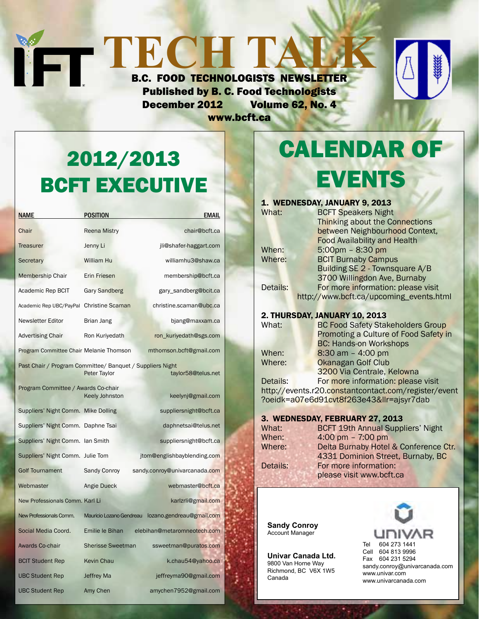### **TECHTALK** B.C. FOOD TECHNOLOGISTS NEWSLETTER Published by B. C. Food Technologists December 2012 Volume 62, No. 4

www.bcft.ca



# 2012/2013 BCFT EXECUTIVE

| <b>NAME</b>                                                                                     | <b>POSITION</b>          | <b>EMAIL</b>                  |  |  |  |
|-------------------------------------------------------------------------------------------------|--------------------------|-------------------------------|--|--|--|
| Chair                                                                                           | <b>Reena Mistry</b>      | chair@bcft.ca                 |  |  |  |
| <b>Treasurer</b>                                                                                | Jenny Li                 | jli@shafer-haggart.com        |  |  |  |
| Secretary                                                                                       | William Hu               | williamhu3@shaw.ca            |  |  |  |
| <b>Membership Chair</b>                                                                         | <b>Erin Friesen</b>      | membership@bcft.ca            |  |  |  |
| Academic Rep BCIT                                                                               | <b>Gary Sandberg</b>     | gary_sandberg@bcit.ca         |  |  |  |
| Academic Rep UBC/PayPal                                                                         | <b>Christine Scaman</b>  | christine.scaman@ubc.ca       |  |  |  |
| Newsletter Editor                                                                               | Brian Jang               | bjang@maxxam.ca               |  |  |  |
| <b>Advertising Chair</b>                                                                        | Ron Kuriyedath           | ron_kuriyedath@sgs.com        |  |  |  |
| Program Committee Chair Melanie Thomson                                                         |                          | mthomson.bcft@gmail.com       |  |  |  |
| Past Chair / Program Committee/ Banquet / Suppliers Night<br>Peter Taylor<br>taylor58@telus.net |                          |                               |  |  |  |
| Program Committee / Awards Co-chair                                                             | <b>Keely Johnston</b>    | keelynj@gmail.com             |  |  |  |
| Suppliers' Night Comm. Mike Dolling                                                             |                          | suppliersnight@bcft.ca        |  |  |  |
| Suppliers' Night Comm. Daphne Tsai                                                              |                          | daphnetsai@telus.net          |  |  |  |
| Suppliers' Night Comm. Ian Smith                                                                |                          | suppliersnight@bcft.ca        |  |  |  |
| Suppliers' Night Comm. Julie Tom                                                                |                          | jtom@englishbayblending.com   |  |  |  |
| <b>Golf Tournament</b>                                                                          | Sandy Conroy             | sandy.conroy@univarcanada.com |  |  |  |
| Webmaster                                                                                       | Angie Dueck              | webmaster@bcft.ca             |  |  |  |
| New Professionals Comm. Karl Li                                                                 |                          | karlzrli@gmail.com            |  |  |  |
| New Professionals Comm.                                                                         | Mauricio Lozano Gendreau | lozano.gendreau@gmail.com     |  |  |  |
| Social Media Coord.                                                                             | Emilie le Bihan          | elebihan@metaromneotech.com   |  |  |  |
| Awards Co-chair                                                                                 | <b>Sherisse Sweetman</b> | ssweetman@puratos.com         |  |  |  |
| <b>BCIT Student Rep</b>                                                                         | <b>Kevin Chau</b>        | k.chau54@yahoo.ca             |  |  |  |
| <b>UBC Student Rep</b>                                                                          | Jeffrey Ma               | jeffreyma90@gmail.com         |  |  |  |
| <b>UBC Student Rep</b>                                                                          | Amy Chen                 | amychen7952@gmail.com         |  |  |  |

## Calendar Of **EVENTS**

#### 1. Wednesday, January 9, 2013 What: **BCFT Speakers Night**  Thinking about the Connections between Neighbourhood Context, Food Availability and Health When: 5:00pm – 8:30 pm<br>Where: BCIT Burnaby Camp **BCIT Burnaby Campus**  Building SE 2 - Townsquare A/B 3700 Willingdon Ave, Burnaby Details: For more information: please visit http://www.bcft.ca/upcoming\_events.html

#### 2. Thursday, January 10, 2013

What: **BC Food Safety Stakeholders Group**  Promoting a Culture of Food Safety in BC: Hands-on Workshops When: 8:30 am – 4:00 pm<br>Where: 0kanagan Golf Club Okanagan Golf Club 3200 Via Centrale, Kelowna Details: For more information: please visit

http://events.r20.constantcontact.com/register/event ?oeidk=a07e6d91cvt8f263e43&llr=ajsyr7dab

#### 3. Wednesday, February 27, 2013

| <b>BCFT 19th Annual Suppliers' Night</b> |
|------------------------------------------|
| 4:00 pm $- 7:00$ pm                      |
| Delta Burnaby Hotel & Conference Ctr.    |
| 4331 Dominion Street, Burnaby, BC        |
| For more information:                    |
| please visit www.bcft.ca                 |
|                                          |

**Sandy Conroy** Account Manager

**Univar Canada Ltd.** 9800 Van Horne Way Richmond, BC V6X 1W5 Canada

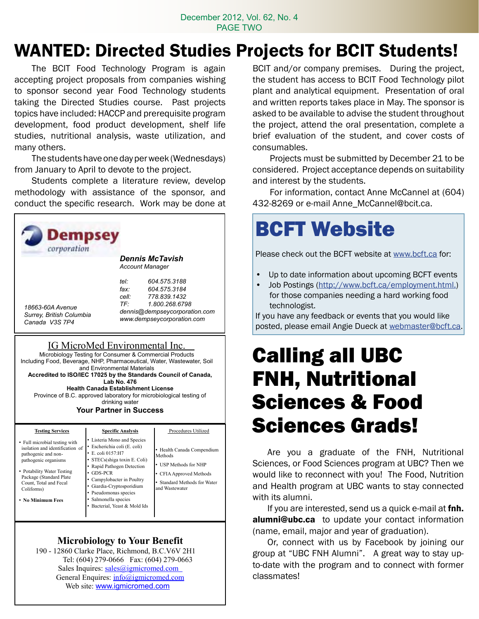#### December 2012, Vol. 62, No. 4 PAGE TWO

## WANTED: Directed Studies Projects for BCIT Students!

 The BCIT Food Technology Program is again accepting project proposals from companies wishing to sponsor second year Food Technology students taking the Directed Studies course. Past projects topics have included: HACCP and prerequisite program development, food product development, shelf life studies, nutritional analysis, waste utilization, and many others.

The students have one day per week (Wednesdays) from January to April to devote to the project.

Students complete a literature review, develop methodology with assistance of the sponsor, and conduct the specific research. Work may be done at



#### plant and analytical equipment. Presentation of oral and written reports takes place in May. The sponsor is asked to be available to advise the student throughout the project, attend the oral presentation, complete a brief evaluation of the student, and cover costs of consumables. Projects must be submitted by December 21 to be

BCIT and/or company premises. During the project, the student has access to BCIT Food Technology pilot

considered. Project acceptance depends on suitability and interest by the students.

For information, contact Anne McCannel at (604) 432-8269 or e-mail Anne\_McCannel@bcit.ca.

# BCFT Website

Please check out the BCFT website at www.bcft.ca for:

- • Up to date information about upcoming BCFT events
- Job Postings (http://www.bcft.ca/employment.html.) for those companies needing a hard working food technologist.

If you have any feedback or events that you would like posted, please email Angie Dueck at webmaster@bcft.ca.

## Calling all UBC FNH, Nutritional Sciences & Food Sciences Grads!

 Are you a graduate of the FNH, Nutritional Sciences, or Food Sciences program at UBC? Then we would like to reconnect with you! The Food, Nutrition and Health program at UBC wants to stay connected with its alumni.

If you are interested, send us a quick e-mail at **fnh.** alumni@ubc.ca to update your contact information (name, email, major and year of graduation).

Or, connect with us by Facebook by joining our group at "UBC FNH Alumni". A great way to stay upto-date with the program and to connect with former classmates!

Count, Total and Fecal Coliforms)

• **No Minimum Fees**

Giardia-Cryptosporidium Pseudomonas species • Standard Methods for Water and Wastewater

### **Microbiology to Your Benefit**

Salmonella species Bacterial, Yeast & Mold Ids

 190 - 12860 Clarke Place, Richmond, B.C.V6V 2H1 Tel: (604) 279-0666 Fax: (604) 279-0663 Sales Inquires: sales@igmicromed.com General Enquires: info@igmicromed.com Web site: www.igmicromed.com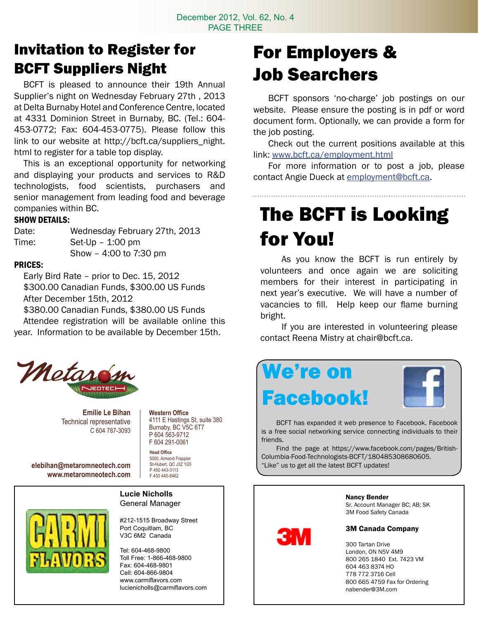### Invitation to Register for BCFT Suppliers Night

 BCFT is pleased to announce their 19th Annual Supplier's night on Wednesday February 27th , 2013 at Delta Burnaby Hotel and Conference Centre, located at 4331 Dominion Street in Burnaby, BC. (Tel.: 604- 453-0772; Fax: 604-453-0775). Please follow this link to our website at http://bcft.ca/suppliers\_night. html to register for a table top display.

 This is an exceptional opportunity for networking and displaying your products and services to R&D technologists, food scientists, purchasers and senior management from leading food and beverage companies within BC.

#### SHOW DETAILS:

| Date: | Wednesday February 27th, 2013 |
|-------|-------------------------------|
| Time: | $Set$ -Up $-$ 1:00 pm         |
|       | Show - 4:00 to 7:30 pm        |

#### Prices:

 Early Bird Rate – prior to Dec. 15, 2012 \$300.00 Canadian Funds, \$300.00 US Funds After December 15th, 2012

 \$380.00 Canadian Funds, \$380.00 US Funds Attendee registration will be available online this year. Information to be available by December 15th.



**Emilie Le Bihan** Technical representative C 604 787-3093 **Western Office** 4111 E Hastings St, suite 380 Burnaby, BC V5C 6T7 P 604 563-9712

**elebihan@metaromneotech.com www.metaromneotech.com**

**Head Office** 5000, Armand Frappier F 604 291-0061

St-Hubert, QC J3Z 1G5 P 450 443-3113 F 450 445-8462

#### **Lucie Nicholls** General Manager

#212-1515 Broadway Street Port Coquitlam, BC V3C 6M2 Canada

Tel: 604-468-9800 Toll Free: 1-866-468-9800 Fax: 604-468-9801 Cell: 604-866-9804 www.carmiflavors.com lucienicholls@carmiflavors.com

## For Employers & Job Searchers

 BCFT sponsors 'no-charge' job postings on our website. Please ensure the posting is in pdf or word document form. Optionally, we can provide a form for the job posting.

 Check out the current positions available at this link: www.bcft.ca/employment.html

 For more information or to post a job, please contact Angie Dueck at employment@bcft.ca.

## The BCFT is Looking for You!

 As you know the BCFT is run entirely by volunteers and once again we are soliciting members for their interest in participating in next year's executive. We will have a number of vacancies to fill. Help keep our flame burning bright.

 If you are interested in volunteering please contact Reena Mistry at chair@bcft.ca.



 BCFT has expanded it web presence to Facebook. Facebook is a free social networking service connecting individuals to their friends.

Find the page at https://www.facebook.com/pages/British-Columbia-Food-Technologists-BCFT/180485308680605. "Like" us to get all the latest BCFT updates!



#### Nancy Bender

Sr. Account Manager BC; AB; SK 3M Food Safety Canada

#### 3M Canada Company

 Tartan Drive London, ON N5V 4M9 265 1840 Ext. 7423 VM 463 8374 HO 772 3716 Cell 665 4759 Fax for Ordering nabender@3M.com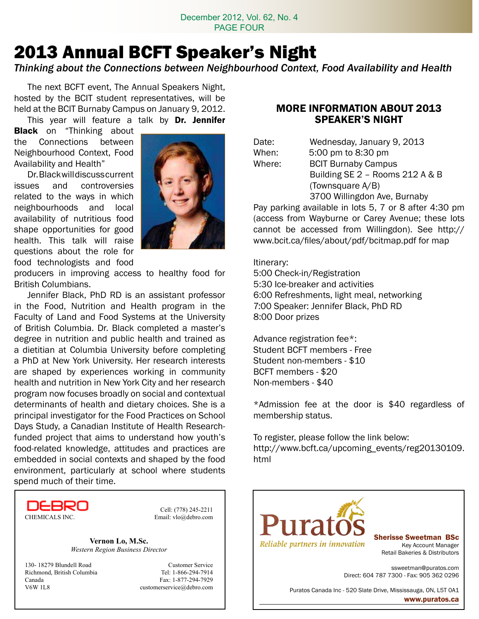### 2013 Annual BCFT Speaker's Night

*Thinking about the Connections between Neighbourhood Context, Food Availability and Health*

 The next BCFT event, The Annual Speakers Night, hosted by the BCIT student representatives, will be held at the BCIT Burnaby Campus on January 9, 2012.

This year will feature a talk by Dr. Jennifer **Black** on "Thinking about

the Connections between Neighbourhood Context, Food Availability and Health"

 Dr.Blackwilldiscusscurrent issues and controversies related to the ways in which neighbourhoods and local availability of nutritious food shape opportunities for good health. This talk will raise questions about the role for food technologists and food



producers in improving access to healthy food for British Columbians.

Jennifer Black, PhD RD is an assistant professor in the Food, Nutrition and Health program in the Faculty of Land and Food Systems at the University of British Columbia. Dr. Black completed a master's degree in nutrition and public health and trained as a dietitian at Columbia University before completing a PhD at New York University. Her research interests are shaped by experiences working in community health and nutrition in New York City and her research program now focuses broadly on social and contextual determinants of health and dietary choices. She is a principal investigator for the Food Practices on School Days Study, a Canadian Institute of Health Researchfunded project that aims to understand how youth's food-related knowledge, attitudes and practices are embedded in social contexts and shaped by the food environment, particularly at school where students spend much of their time.



Cell: (778) 245-2211

**Vernon Lo, M.Sc.** *Western Region Business Director*

130- 18279 Blundell Road Customer Service Richmond, British Columbia Tel: 1-866-294-7914 Canada Fax: 1-877-294-7929 V6W 1L8 customerservice@debro.com

#### MORE INFORMATION ABOUT 2013 SPEAKER'S NIGHT

| Date:  | Wednesday, January 9, 2013                                             |
|--------|------------------------------------------------------------------------|
| When:  | 5:00 pm to 8:30 pm                                                     |
| Where: | <b>BCIT Burnaby Campus</b>                                             |
|        | Building SE 2 - Rooms 212 A & B                                        |
|        | (Townsquare A/B)                                                       |
|        | 3700 Willingdon Ave, Burnaby                                           |
|        | $D_{211}$ particles qualiphle in lets $E$ , $7$ ar $0$ efter $4.20$ pr |

Pay parking available in lots 5, 7 or 8 after 4:30 pm (access from Wayburne or Carey Avenue; these lots cannot be accessed from Willingdon). See http:// www.bcit.ca/files/about/pdf/bcitmap.pdf for map

#### Itinerary:

5:00 Check-in/Registration 5:30 Ice-breaker and activities 6:00 Refreshments, light meal, networking 7:00 Speaker: Jennifer Black, PhD RD 8:00 Door prizes

Advance registration fee\*: Student BCFT members - Free Student non-members - \$10 BCFT members - \$20 Non-members - \$40

\*Admission fee at the door is \$40 regardless of membership status.

To register, please follow the link below: http://www.bcft.ca/upcoming\_events/reg20130109. html

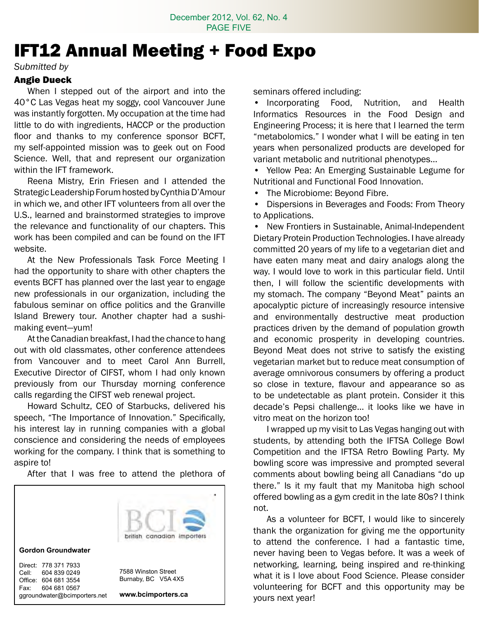### IFT12 Annual Meeting + Food Expo

*Submitted by* 

#### Angie Dueck

 When I stepped out of the airport and into the 40°C Las Vegas heat my soggy, cool Vancouver June was instantly forgotten. My occupation at the time had little to do with ingredients, HACCP or the production floor and thanks to my conference sponsor BCFT, my self-appointed mission was to geek out on Food Science. Well, that and represent our organization within the IFT framework.

 Reena Mistry, Erin Friesen and I attended the Strategic Leadership Forum hosted by Cynthia D'Amour in which we, and other IFT volunteers from all over the U.S., learned and brainstormed strategies to improve the relevance and functionality of our chapters. This work has been compiled and can be found on the IFT website.

 At the New Professionals Task Force Meeting I had the opportunity to share with other chapters the events BCFT has planned over the last year to engage new professionals in our organization, including the fabulous seminar on office politics and the Granville Island Brewery tour. Another chapter had a sushimaking event—yum!

 At the Canadian breakfast, I had the chance to hang out with old classmates, other conference attendees from Vancouver and to meet Carol Ann Burrell, Executive Director of CIFST, whom I had only known previously from our Thursday morning conference calls regarding the CIFST web renewal project.

 Howard Schultz, CEO of Starbucks, delivered his speech, "The Importance of Innovation." Specifically, his interest lay in running companies with a global conscience and considering the needs of employees working for the company. I think that is something to aspire to!

 After that I was free to attend the plethora of



seminars offered including:

• Incorporating Food, Nutrition, and Health Informatics Resources in the Food Design and Engineering Process; it is here that I learned the term "metabolomics." I wonder what I will be eating in ten years when personalized products are developed for variant metabolic and nutritional phenotypes…

• Yellow Pea: An Emerging Sustainable Legume for Nutritional and Functional Food Innovation.

The Microbiome: Beyond Fibre.

• Dispersions in Beverages and Foods: From Theory to Applications.

New Frontiers in Sustainable, Animal-Independent Dietary Protein Production Technologies. I have already committed 20 years of my life to a vegetarian diet and have eaten many meat and dairy analogs along the way. I would love to work in this particular field. Until then, I will follow the scientific developments with my stomach. The company "Beyond Meat" paints an apocalyptic picture of increasingly resource intensive and environmentally destructive meat production practices driven by the demand of population growth and economic prosperity in developing countries. Beyond Meat does not strive to satisfy the existing vegetarian market but to reduce meat consumption of average omnivorous consumers by offering a product so close in texture, flavour and appearance so as to be undetectable as plant protein. Consider it this decade's Pepsi challenge… it looks like we have in vitro meat on the horizon too!

 I wrapped up my visit to Las Vegas hanging out with students, by attending both the IFTSA College Bowl Competition and the IFTSA Retro Bowling Party. My bowling score was impressive and prompted several comments about bowling being all Canadians "do up there." Is it my fault that my Manitoba high school offered bowling as a gym credit in the late 80s? I think not.

As a volunteer for BCFT, I would like to sincerely thank the organization for giving me the opportunity to attend the conference. I had a fantastic time, never having been to Vegas before. It was a week of networking, learning, being inspired and re-thinking what it is I love about Food Science. Please consider volunteering for BCFT and this opportunity may be yours next year!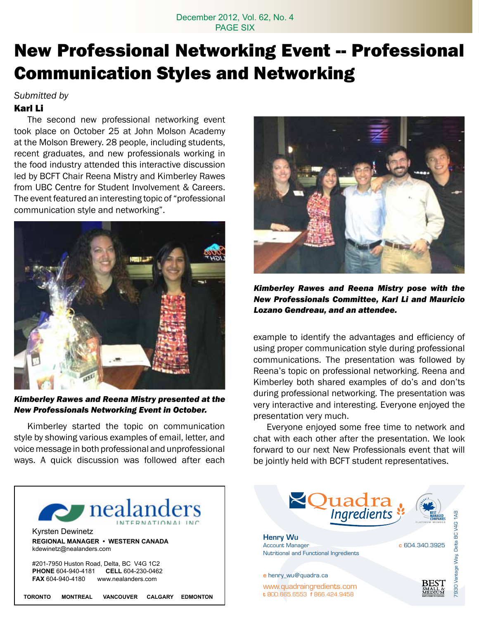### **New Professional Networking Event -- Professional** Communication Styles and Networking

*Submitted by* 

#### Karl Li

 The second new professional networking event took place on October 25 at John Molson Academy at the Molson Brewery. 28 people, including students, recent graduates, and new professionals working in the food industry attended this interactive discussion led by BCFT Chair Reena Mistry and Kimberley Rawes from UBC Centre for Student Involvement & Careers. The event featured an interesting topic of "professional communication style and networking".



*Kimberley Rawes and Reena Mistry presented at the New Professionals Networking Event in October.*

 Kimberley started the topic on communication style by showing various examples of email, letter, and voice message in both professional and unprofessional ways. A quick discussion was followed after each





*Kimberley Rawes and Reena Mistry pose with the New Professionals Committee, Karl Li and Mauricio Lozano Gendreau, and an attendee.*

example to identify the advantages and efficiency of using proper communication style during professional communications. The presentation was followed by Reena's topic on professional networking. Reena and Kimberley both shared examples of do's and don'ts during professional networking. The presentation was very interactive and interesting. Everyone enjoyed the presentation very much.

 Everyone enjoyed some free time to network and chat with each other after the presentation. We look forward to our next New Professionals event that will be jointly held with BCFT student representatives.